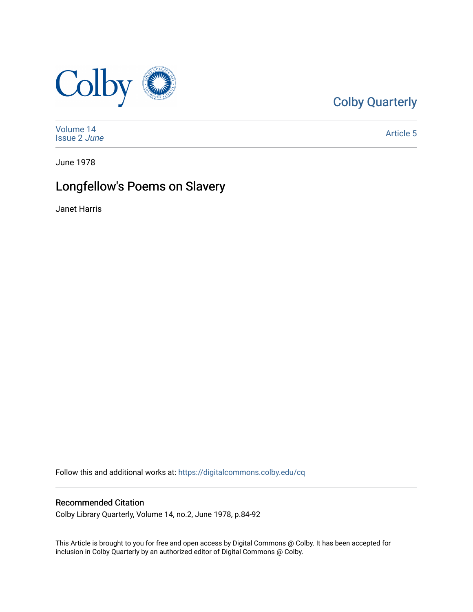

[Colby Quarterly](https://digitalcommons.colby.edu/cq) 

[Volume 14](https://digitalcommons.colby.edu/cq/vol14) [Issue 2](https://digitalcommons.colby.edu/cq/vol14/iss2) June

[Article 5](https://digitalcommons.colby.edu/cq/vol14/iss2/5) 

June 1978

# Longfellow's Poems on Slavery

Janet Harris

Follow this and additional works at: [https://digitalcommons.colby.edu/cq](https://digitalcommons.colby.edu/cq?utm_source=digitalcommons.colby.edu%2Fcq%2Fvol14%2Fiss2%2F5&utm_medium=PDF&utm_campaign=PDFCoverPages)

### Recommended Citation

Colby Library Quarterly, Volume 14, no.2, June 1978, p.84-92

This Article is brought to you for free and open access by Digital Commons @ Colby. It has been accepted for inclusion in Colby Quarterly by an authorized editor of Digital Commons @ Colby.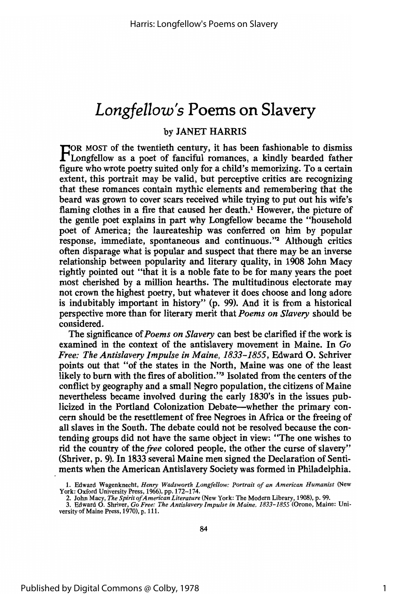## *Longfellow's* Poems on Slavery

#### by JANET HARRIS

FOR MOST of the twentieth century, it has been fashionable to dismiss<br>Longfellow as a poet of fanciful romances, a kindly bearded father figure who wrote poetry suited only for a child's memorizing. To a certain extent, this portrait may be valid, but perceptive critics are recognizing that these romances contain mythic elements and remembering that the beard was grown to cover scars received while trying to put out his wife's flaming clothes in a fire that caused her death.<sup>1</sup> However, the picture of the gentle poet explains in part why Longfellow became the "household poet of America; the laureateship was conferred on him by popular response, immediate, spontaneous and continuous."2 Although critics often disparage what is popular and suspect that there may be an inverse relationship between popularity and literary quality, in 1908 John Macy rightly pointed out "that it is a noble fate to be for many years the poet most cherished by a million hearths. The multitudinous electorate may not crown the highest poetry, but whatever it does choose and long adore is indubitably important in history" (p. 99). And it is from a historical perspective more than for literary merit that *Poems on Slavery* should be considered.

The significance of *Poems* on *Slavery* can best be clarified if the work is examined in the context of the antislavery movement in Maine. In Go *Free: The Antislavery Impulse in Maine,* 1833-1855, Edward o. Sch'river points out that "of the states in the North, Maine was one of the least likely to burn with the fires of abolition."<sup>3</sup> Isolated from the centers of the conflict by geography and a small Negro population, the citizens of Maine nevertheless became involved during the early 1830's in the issues publicized in the Portland Colonization Debate-whether the primary concern should be the resettlement of free Negroes in Africa or the freeing of all slaves in the South. The debate could not be resolved because the contending groups did not have the same object in view: "The one wishes to rid the country of the *free* colored people, the other the curse of slavery" (Shriver, p. 9). In 1833 several Maine men signed the Declaration of Sentiments when the American Antislavery Society was formed in Philadelphia.

<sup>1.</sup> Edward Wagenknecht, *Henry Wadsworth Longfellow: Portrait of an American Humanist* (New York: Oxford University Press, 1966), pp. 172-174.

<sup>2.</sup> John Macy, *The Spirit of American Literature* (New York: The Modern Library, 1908), p. 99.<br>3. Edward O. Shriver, *Go Free: The Antislavery Impulse in Maine, 1833–1855* (Orono, Maine: University of Maine Press, 1970), p. 111.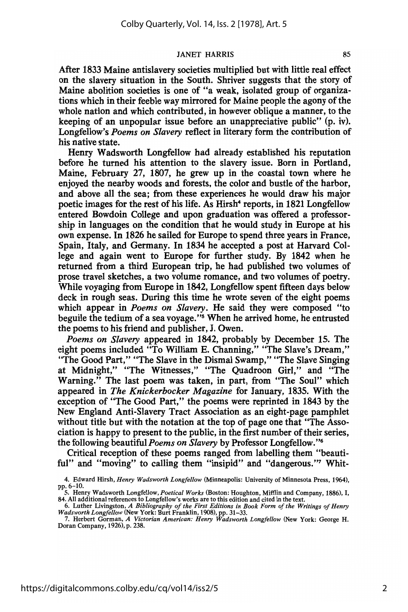After 1833 Maine antislavery societies multiplied but with little real effect on the slavery situation in the South. Shriver suggests that the story of Maine abolition societies is one of "a weak, isolated group of organizations which in their feeble way mirrored for Maine people the agony of the whole nation and which contributed, in however oblique a manner, to the keeping of an unpopular issue before an unappreciative public" (p. iv). Longfellow's *Poems on Slavery* reflect in literary form the contribution of his native state.

Henry Wadsworth Longfellow had already established his reputation before he turned his attention to the slavery issue. Born in Portland, Maine, February 27, 1807, he grew up in the coastal town where he enjoyed the nearby woods and forests, the color and bustle of the harbor, and above all the sea; from these experiences he would draw his major poetic images for the rest of his life. As Hirsh<sup>4</sup> reports, in 1821 Longfellow entered Bowdoin College and upon graduation was offered a professorship in languages on the condition that he would study in Europe at his own expense. In 1826 he sailed for Europe to spend three years in France, Spain, Italy, and Germany. In 1834 he accepted a post at Harvard College and again went to Europe for further study. By 1842 when he returned from a third European trip, he had published two volumes of prose travel sketches, a two volume romance, and two volumes of poetry. While voyaging from Europe in 1842, Longfellow spent fifteen days below deck in rough seas. During this time he wrote seven of the eight poems which appear in *Poems on Slavery.* He said they were composed "to beguile the tedium of a sea voyage."<sup>5</sup> When he arrived home, he entrusted the poems to his friend and publisher, J. Owen.

*Poems on Slavery* appeared in 1842, probably by December 15. The eight poems included "To William E. Channing," "The Slave's Dream," "The Good Part," "The Slave in the Dismal Swamp," "The Slave Singing at Midnight," "The Witnesses," "The Quadroon Girl," and "The Warning." The last poem was taken, in part, from "The Soul" which appeared in *The Knickerbocker Magazine* for January, 1835. With the exception of "The Good Part," the poems were reprinted in 1843 by the New England Anti-Slavery Tract Association as an eight-page pamphlet without title but with the notation at the top of page one that "The Association is happy to present to the public, in the first number of their series, the following beautiful *Poems on Slavery* by Professor Longfellow."6

Critical reception of these poems ranged from labelling them "beautiful" and "moving" to calling them "insipid" and "dangerous." Whit-

<sup>4.</sup> Edward Hirsh, *Henry Wadsworth Longfellow* (Minneapolis: University of Minnesota Press, 1964), pp.6-10.

s. Henry Wadsworth Longfellow, *Poetical Works* (Boston: Houghton, Mifflin and Company, 1886), I, 84. All additional references to Longfellow's works are to this edition and cited in the text.

<sup>6.</sup> Luther Livingston, A Bibliography of the First Editions in Book Form of the Writings of Henry *Wadsworth Longfellow* (New York: Burt Franklin, 1908), pp. 31-33. 7. Herbert Gorman, *A Victorian American: Henry Wadsworth Longfellow* (New York: George H.

Doran Company, 1926), p. 238.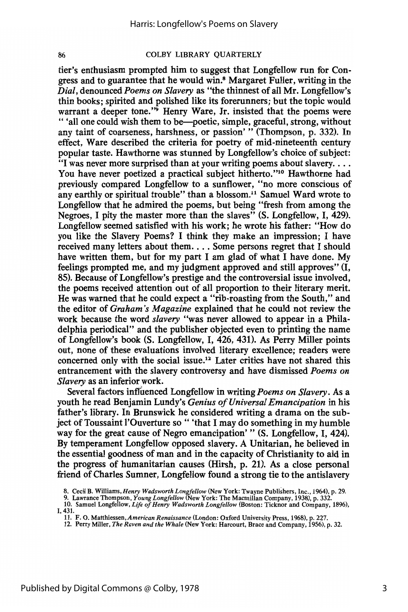tier's enthusiasm prompted him to suggest that Longfellow run for Congress and to guarantee that he would win.<sup>8</sup> Margaret Fuller, writing in the *Dial,* denounced *Poems on Slavery* as "the thinnest of all Mr. Longfellow's thin books; spirited and polished like its forerunners; but the topic would warrant a deeper tone."<sup>9</sup> Henry Ware, Jr. insisted that the poems were " 'all one could wish them to be-poetic, simple, graceful, strong, without any taint of coarseness, harshness, or passion' " (Thompson, p. 332). In effect, Ware described the criteria for poetry of mid-nineteenth century popular taste. Hawthorne was stunned by Longfellow's choice of subject:  $\cdot$  I was never more surprised than at your writing poems about slavery.... You have never poetized a practical subject hitherto."<sup>10</sup> Hawthorne had previously compared Longfellow to a sunflower, "no more conscious of any earthly or spiritual trouble" than a blossom.<sup>11</sup> Samuel Ward wrote to Longfellow that he admired the poems, but being "fresh from among the Negroes, I pity the master more than the slaves<sup>"</sup> (S. Longfellow, I, 429). Longfellow seemed satisfied with his work; he wrote his father: "How do you like the Slavery Poems? I think they make an impression; I have received many letters about them.... Some persons regret that I should have written them, but for my part I am glad of what I have done. My feelings prompted me, and my judgment approved and still approves" (I, 85). Because of Longfellow's prestige and the controversial issue involved, the poems received attention out of all proportion to their literary merit. He was warned that he could expect a "rib-roasting from the South," and the editor of *Graham's Magazine* explained that he could not review the work because the word *slavery* "was never allowed to appear in a Philadelphia periodical" and the publisher objected even to printing the name of Longfellow's book (S. Longfellow, I, 426, 431). As Perry Miller points out, none of these evaluations involved literary excellence; readers were concerned only with the social issue.12 Later critics have not shared this entrancement with the slavery controversy and have dismissed *Poems on Slavery* as an inferior work.

Several factors intfuenced Longfellow in writing *Poems on Slavery.* As a youth he read Benjamin Lundy's *Genius ofUniversal Emancipation* in his father's library. In Brunswick he considered writing a drama on the subject of Toussaint l'Ouverture so " 'that I may do something in my humble way for the great cause of Negro emancipation' " (S. Longfellow, I, 424). By temperament Longfellow opposed slavery. A Unitarian, he believed in the essential goodness of man and in the capacity of Christianity to aid in the progress of humanitarian causes (Hirsh, p. 21). As a close personal friend of Charles Sumner, Longfellow found a strong tie to the antislavery

<sup>8.</sup> Cecil B. Williams, *Henry Wadsworth Longfellow* (New York: Twayne Publishers, Inc., 1964), p. 29.<br>9. Lawrance Thompson, *Young Longfellow* (New York: The Macmillan Company, 1938), p. 332.<br>10. Samuel Longfellow, *Life* 

<sup>1,431.</sup>

<sup>11.</sup> F. O. Matthiessen, *American Renaissance* (London: Oxford University Press, 1968), p. 227.<br>12. Perry Miller, *The Raven and the Whale* (New York: Harcourt, Brace and Company, 1956), p. 32.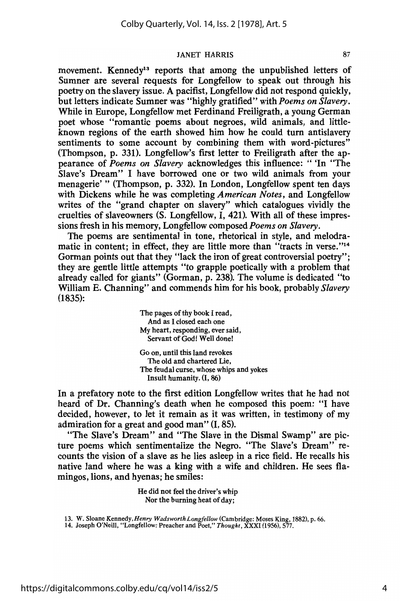movement. Kennedy<sup>13</sup> reports that among the unpublished letters of Sumner are several requests for Longfellow to speak out through his poetry on the slavery issue. A pacifist, Longfellow did not respond quickly, but letters indicate Sumner was "highly gratified" with *Poems on Slavery.* While in Europe, Longfellow met Ferdinand Freiligrath, a young German poet whose "romantic poems about negroes, wild animals, and littleknown regions of the earth showed him how he could turn antislavery sentiments to some account by combining them with word-pictures" (Thompson, p. 331). Longfellow's first letter to Freiligrath after the appearance of *Poems on Slavery* acknowledges this influence: " 'In "The Slave's Dream" I have borrowed one or two wild animals from your menagerie' " (Thompson, p. 332). In London, Longfellow spent ten days with Dickens while he was completing *American Notes,* and Longfellow writes of the "grand chapter on slavery" which catalogues vividly the cruelties of slaveowners (S. Longfellow, I, 421). With all of these impressions fresh in his memory, Longfellow composed *Poems on Slavery*.

The poems are sentimental in tone, rhetorical in style, and melodramatic in content; in effect, they are little more than "tracts in verse."<sup>14</sup> Gorman points out that they "lack the iron of great controversial poetry"; they are gentle little attempts "to grapple poetically with a problem that already called for giants" (Gorman, p. 238). The volume is dedicated "to William E. Channing" and commends him for his book, probably *Slavery* (1835):

> The pages of thy book I read, And as I closed each one My heart, responding, ever said, Servant of God! Well done!

Go on, until this land revokes The old and chartered Lie, The feudal curse, whose whips and yokes Insult humanity. (1,86)

In a prefatory note to the first edition Longfellow writes that he had not heard of Dr. Channing's death when he composed this poem: "I have decided, however, to let it remain as it was written, in testimony of my admiration for a great and good man" (I, 85).

"The Slave's Dream" and "The Slave in the Dismal Swamp" are picture poems which sentimentalize the Negro. "The Slave's Dream" recounts the vision of a slave as he lies asleep in a rice field. He recalls his native land where he was a king with a wife and children. He sees flamingos, lions, and hyenas; he smiles:

> He did not feel the driver's whip Nor the burning heat of day;

13. W. Sloane Kennedy, *Henry Wadsworth Longfellow* (Cambridge: Moses King, 1882), p. 66. 14. Joseph O'Neill, "Longfellow: Preacher and Poet," *Thought,* XXXI (1956),577.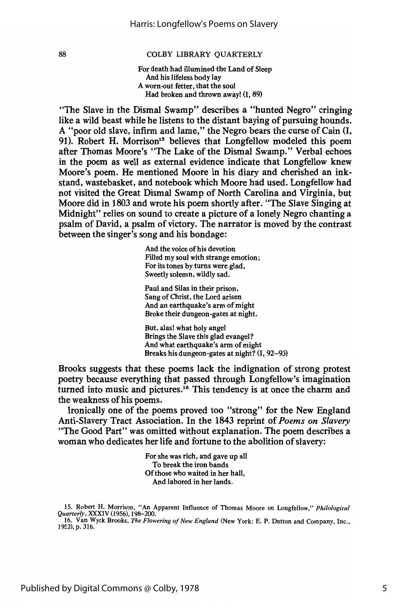For death had illumined the Land of Sleep And his lifeless body lay A worn-out fetter, that the soul Had broken and thrown away! (I, 89)

"The Slave in the Dismal Swamp" describes a "hunted Negro" cringing like a wild beast while he listens to the distant baying of pursuing hounds. A "poor old slave, infirm and lame," the Negro bears the curse of Cain (I, 91). Robert H. Morrison<sup>15</sup> believes that Longfellow modeled this poem after Thomas Moore's "The Lake of the Dismal Swamp." Verbal echoes in the poem as well as external evidence indicate that Longfellow knew Moore's poem. He mentioned Moore in his diary and cherished an inkstand, wastebasket, and notebook which Moore had used. Longfellow had not visited the Great Dismal Swamp of North Carolina and Virginia, but Moore did in 1803 and wrote his poem shortly after. "The Slave Singing at Midnight" relies on sound to create a picture of a lonely Negro chanting a psalm of David, a psalm of victory. The narrator is moved by the contrast between the singer's song and his bondage:

> And the voice of his devotion Filled my soul with strange emotion; For its tones by turns were glad, Sweetly solemn, wildly sad.

Paul and Silas in their prison, Sang of Christ, the Lord arisen And an earthquake's arm of might Broke their dungeon-gates at night.

But, alas! what holy angel Brings the Slave this glad evangel? And what earthquake's arm of might Breaks his dungeon-gates at night? (I, 92-93)

Brooks suggests that these poems lack the indignation of strong protest poetry because everything that passed through Longfellow's imagination turned into music and pictures.<sup>16</sup> This tendency is at once the charm and the weakness of his poems.

Ironically one of the poems proved too "strong" for the New England Anti-Slavery Tract Association. In the 1843 reprint of *Poems on Slavery* "The Good Part" was omitted without explanation. The poem describes a woman who dedicates her life and fortune to the abolition of slavery:

> For she was rich, and gave up all To break the iron bands Ofthose who waited in her hall, And labored in her lands.

15. Robert H. Morrison, "An Apparent Influence of Thomas Moore on Longfellow," *Philological Quarterly,* XXXIV (1956),198-200.

16. Van Wyck Brooks, *The Flowering of New England* (New York: E. P. Dutton and Company, Inc., 1952), p. 316.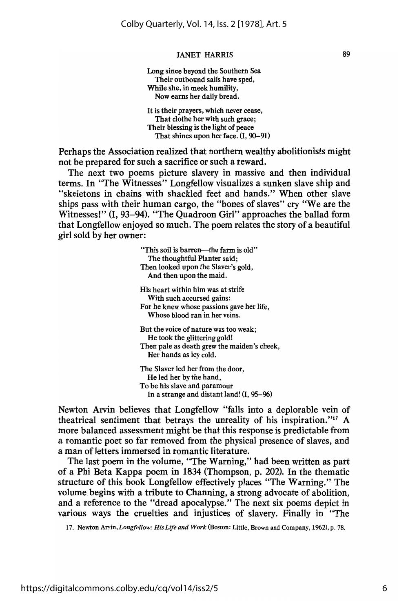Long since beyond the Southern Sea Their outbound sails have sped, While she, in meek humility, Now earns her daily bread. It is their prayers, which never cease,

That clothe her with such grace; Their blessing is the light of peace That shines upon her face. (I, 90-91)

Perhaps the Association realized that northern wealthy abolitionists might not be prepared for such a sacrifice or such a reward.

The next two poems picture slavery in massive and then individual terms. In "The Witnesses" Longfellow visualizes a sunken slave ship and "skeletons in chains with shackled feet and hands." When other slave ships pass with their human cargo, the "bones of slaves" cry "We are the Witnesses!" (I, 93-94). "The Quadroon Girl" approaches the ballad form that Longfellow enjoyed so much. The poem relates the story of a beautiful girl sold by her owner:

> "This soil is barren-the farm is old" The thoughtful Planter said; Then looked upon the Slaver's gold, And then upon the maid. His heart within him was at strife With such accursed gains: For he knew whose passions gave her life, Whose blood ran in her veins. But the voice of nature was too weak; He took the glittering gold! Then pale as death grew the maiden's cheek, Her hands as icy cold. The Slaver led her from the door, He led her by the hand, To be his slave and paramour

Newton Arvin believes that Longfellow "falls into a deplorable vein of theatrical sentiment that betrays the unreality of his inspiration. "17 A more balanced assessment might be that this response is predictable from a romantic poet so far removed from the physical presence of slaves, and a man of letters immersed in romantic literature.

In a strange and distant land! (I, 95-96)

The last poem in the volume, "The Warning," had been written as part of a Phi Beta Kappa poem in 1834 (Thompson, p. 202). In the thematic structure of this book Longfellow effectively places "The Warning." The volume begins with a tribute to Channing, a strong advocate of abolition, and a reference to the "dread apocalypse." The next six poems depict in various ways the cruelties and injustices of slavery. Finally in "The

17. Newton Arvin, *Longfellow: His Life and Work* (Boston: Little, Brown and Company, 1962), p. 78.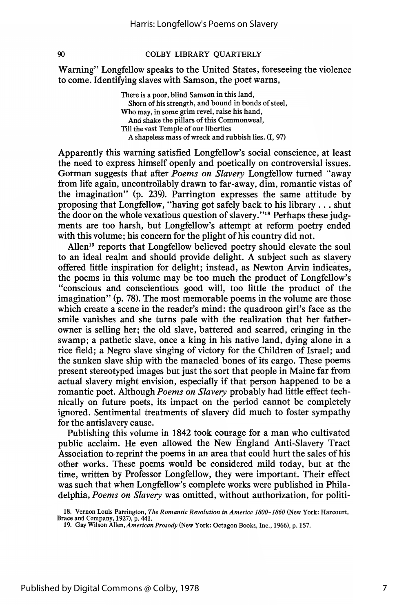Warning" Longfellow speaks to the United States, foreseeing the violence to come. Identifying slaves with Samson, the poet warns,

> There is a poor, blind Samson in this land, Shorn of his strength, and bound in bonds of steel, Who may, in some grim revel, raise his hand, And shake the pillars of this Commonweal, Till the vast Temple of our liberties A shapeless mass of wreck and rubbish lies.  $(I, 97)$

Apparently this warning satisfied Longfellow's social conscience, at least the need to express himself openly and poetically on controversial issues. Gorman suggests that after *Poems on Slavery* Longfellow turned "away" from life again, uncontrollably drawn to far-away, dim, romantic vistas of the imagination" (p. 239). Parrington expresses the same attitude by proposing that Longfellow, "having got safely back to his library ... shut the door on the whole vexatious question of slavery."<sup>18</sup> Perhaps these judgments are too harsh, but Longfellow's attempt at reform poetry ended with this volume; his concern for the plight of his country did not.

Allen<sup>19</sup> reports that Longfellow believed poetry should elevate the soul to an ideal realm and should provide delight. A subject such as slavery offered little inspiration for delight; instead, as Newton Arvin indicates, the poems in this volume may be too much the product of Longfellow's "conscious and conscientious good will, too little the product of the imagination" (p. 78). The most memorable poems in the volume are those which create a scene in the reader's mind: the quadroon girl's face as the smile vanishes and she turns pale with the realization that her fatherowner is selling her; the old slave, battered and scarred, cringing in the swamp; a pathetic slave, once a king in his native land, dying alone in a rice field; a Negro slave singing of victory for the Children of Israel; and the sunken slave ship with the manacled bones of its cargo. These poems present stereotyped images but just the sort that people in Maine far from actual slavery might envision, especially if that person happened to be a romantic poet. Although *Poems on Slavery* probably had little effect technically on future poets, its impact on the period cannot be completely ignored. Sentimental treatments of slavery did much to foster sympathy for the antislavery cause.

Publishing this volume in 1842 took courage for a man who cultivated public acclaim. He even allowed the New England Anti-Slavery Tract Association to reprint the poems in an area that could hurt the sales of his other works. These poems would be considered mild today, but at the time, written by Professor Longfellow, they were important. Their effect was such that when Longfellow's complete works were published in Philadelphia, *Poems on Slavery* was omitted, without authorization, for politi-

<sup>18.</sup> Vernon Louis Parrington, *The Romantic Revolution in America 1800-1860* (New York: Harcourt, Brace and Company, 1927), p. 441. 19. Gay Wilson Allen, *American Prosody* (New York: Octagon Books, Inc., 1966), p.157.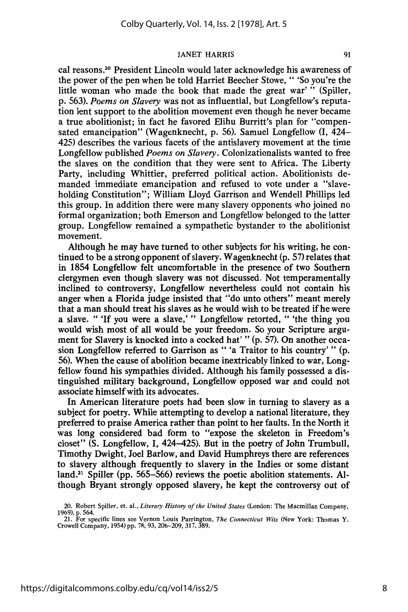cal reasons.20 President Lincoln would later acknowledge his awareness of the power of the pen when he told Harriet Beecher Stowe, " 'So you're the little woman who made the book that made the great war'" (Spiller, p. 563). *Poems on Slavery* was not as influential, but Longfellow's reputation lent support to the abolition movement even though he never became a true abolitionist; in fact he favored Elihu Burritt's plan for "compensated emancipation" (Wagenknecht, p. 56). Samuel Longfellow (I, 424- 425) describes the various facets of the antislavery movement at the time Longfellow published *Poems on Slavery.* Colonizationalists wanted to free the slaves on the condition that they were sent to Africa. The Liberty Party, including Whittier, preferred political action. Abolitionists demanded immediate emancipation and refused to vote under a "slaveholding Constitution"; William Lloyd Garrison and Wendell Phillips led this group. In addition there were many slavery opponents who joined no formal organization; both Emerson and Longfellow belonged to the latter group. Longfellow remained a sympathetic bystander to the abolitionist movement.

Although he may have turned to other subjects for his writing, he continued to be a strong opponent of slavery. Wagenknecht (p. 57) relates that in 1854 Longfellow felt uncomfortable in the presence of two Southern clergymen even though slavery was not discussed. Not temperamentally inclined to controversy, Longfellow nevertheless could not contain his anger when a Florida judge insisted that "do unto others" meant merely that a man should treat his slaves as he would wish to be treated if he were a slave. " 'If you were a slave,' " Longfellow retorted, " 'the thing you would wish most of all would be your freedom. So your Scripture argument for Slavery is knocked into a cocked hat' " (p. 57). On another occasion Longfellow referred to Garrison as " 'a Traitor to his country' " (p. 56). When the cause of abolition became inextricably linked to war, Longfellow found his sympathies divided. Although his family possessed a distinguished military background, Longfellow opposed war and could not associate himselfwith its advocates.

In American literature poets had been slow in turning to slavery as a subject for poetry. While attempting to develop a national literature, they preferred to praise America rather than point to her faults. In the North it was long considered bad form to "expose the skeleton in Freedom's closet" (S. Longfellow, I, 424-425). But in the poetry of John Trumbull, Timothy Dwight, Joel Barlow, and David Humphreys there are references to slavery although frequently to slavery in the Indies or some distant land.<sup>21</sup> Spiller (pp. 565-566) reviews the poetic abolition statements. Although Bryant strongly opposed slavery, he kept the controversy out of

<sup>20.</sup> Robert Spiller, et. al., *Literary History of the United States* (London: The Macmillan Company, 1969), p. 564.

<sup>21.</sup> For specific lines see Vernon Louis Parrington, *The Connecticut Wits* (New York: Thomas Y. Crowell Company, 1954) pp. 78, 93, 206-209, 317, 389.